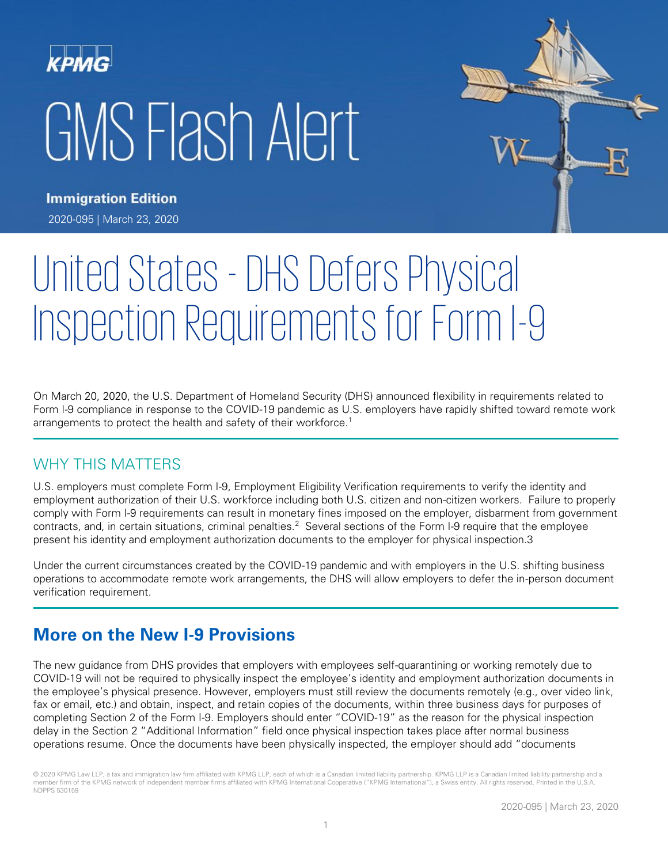# GMS Flash Alert



**Immigration Edition** 2020-095 | March 23, 2020

# United States - DHS Defers Physical Inspection Requirements for Form I-9

On March 20, 2020, the U.S. Department of Homeland Security (DHS) announced flexibility in requirements related to Form I-9 compliance in response to the COVID-19 pandemic as U.S. employers have rapidly shifted toward remote work arrangements to protect the health and safety of their workforce.<sup>1</sup>

# WHY THIS MATTERS

U.S. employers must complete Form I-9, Employment Eligibility Verification requirements to verify the identity and employment authorization of their U.S. workforce including both U.S. citizen and non-citizen workers. Failure to properly comply with Form I-9 requirements can result in monetary fines imposed on the employer, disbarment from government contracts, and, in certain situations, criminal penalties.<sup>2</sup> Several sections of the Form I-9 require that the employee present his identity and employment authorization documents to the employer for physical inspection.3

Under the current circumstances created by the COVID-19 pandemic and with employers in the U.S. shifting business operations to accommodate remote work arrangements, the DHS will allow employers to defer the in-person document verification requirement.

# **More on the New I-9 Provisions**

The new guidance from DHS provides that employers with employees self-quarantining or working remotely due to COVID-19 will not be required to physically inspect the employee's identity and employment authorization documents in the employee's physical presence. However, employers must still review the documents remotely (e.g., over video link, fax or email, etc.) and obtain, inspect, and retain copies of the documents, within three business days for purposes of completing Section 2 of the Form I-9. Employers should enter "COVID-19" as the reason for the physical inspection delay in the Section 2 "Additional Information" field once physical inspection takes place after normal business operations resume. Once the documents have been physically inspected, the employer should add "documents

<sup>© 2020</sup> KPMG Law LLP, a tax and immigration law firm affiliated with KPMG LLP, each of which is a Canadian limited liability partnership. KPMG LLP is a Canadian limited liability partnership and a member firm of the KPMG network of independent member firms affiliated with KPMG International Cooperative ("KPMG International"), a Swiss entity. All rights reserved. Printed in the U.S.A. NDPPS 530159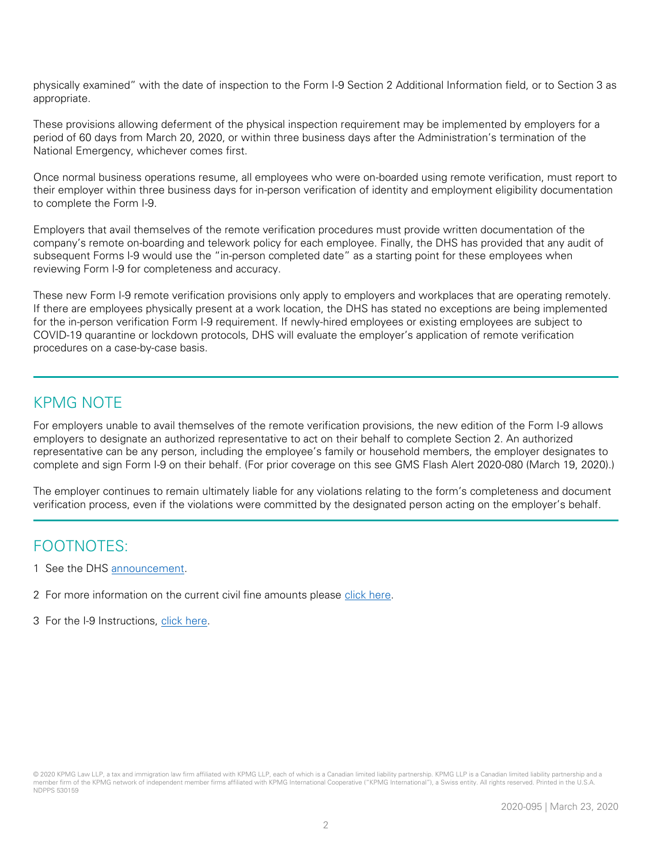physically examined" with the date of inspection to the Form I-9 Section 2 Additional Information field, or to Section 3 as appropriate.

These provisions allowing deferment of the physical inspection requirement may be implemented by employers for a period of 60 days from March 20, 2020, or within three business days after the Administration's termination of the National Emergency, whichever comes first.

Once normal business operations resume, all employees who were on-boarded using remote verification, must report to their employer within three business days for in-person verification of identity and employment eligibility documentation to complete the Form I-9.

Employers that avail themselves of the remote verification procedures must provide written documentation of the company's remote on-boarding and telework policy for each employee. Finally, the DHS has provided that any audit of subsequent Forms I-9 would use the "in-person completed date" as a starting point for these employees when reviewing Form I-9 for completeness and accuracy.

These new Form I-9 remote verification provisions only apply to employers and workplaces that are operating remotely. If there are employees physically present at a work location, the DHS has stated no exceptions are being implemented for the in-person verification Form I-9 requirement. If newly-hired employees or existing employees are subject to COVID-19 quarantine or lockdown protocols, DHS will evaluate the employer's application of remote verification procedures on a case-by-case basis.

### KPMG NOTE

For employers unable to avail themselves of the remote verification provisions, the new edition of the Form I-9 allows employers to designate an authorized representative to act on their behalf to complete Section 2. An authorized representative can be any person, including the employee's family or household members, the employer designates to complete and sign Form I-9 on their behalf. (For prior coverage on this see GMS Flash Alert 2020-080 (March 19, 2020).)

The employer continues to remain ultimately liable for any violations relating to the form's completeness and document verification process, even if the violations were committed by the designated person acting on the employer's behalf.

## FOOTNOTES:

- 1 See the DHS [announcement.](https://www.ice.gov/news/releases/dhs-announces-flexibility-requirements-related-form-i-9-compliance)
- 2 For more information on the current civil fine amounts please [click here.](https://www.govinfo.gov/content/pkg/FR-2019-04-05/pdf/2019-06745.pdf)
- 3 For the I-9 Instructions, [click here.](https://www.uscis.gov/i-9)

<sup>© 2020</sup> KPMG Law LLP, a tax and immigration law firm affiliated with KPMG LLP, each of which is a Canadian limited liability partnership. KPMG LLP is a Canadian limited liability partnership and a member firm of the KPMG network of independent member firms affiliated with KPMG International Cooperative ("KPMG International"), a Swiss entity. All rights reserved. Printed in the U.S.A. NDPPS 530159